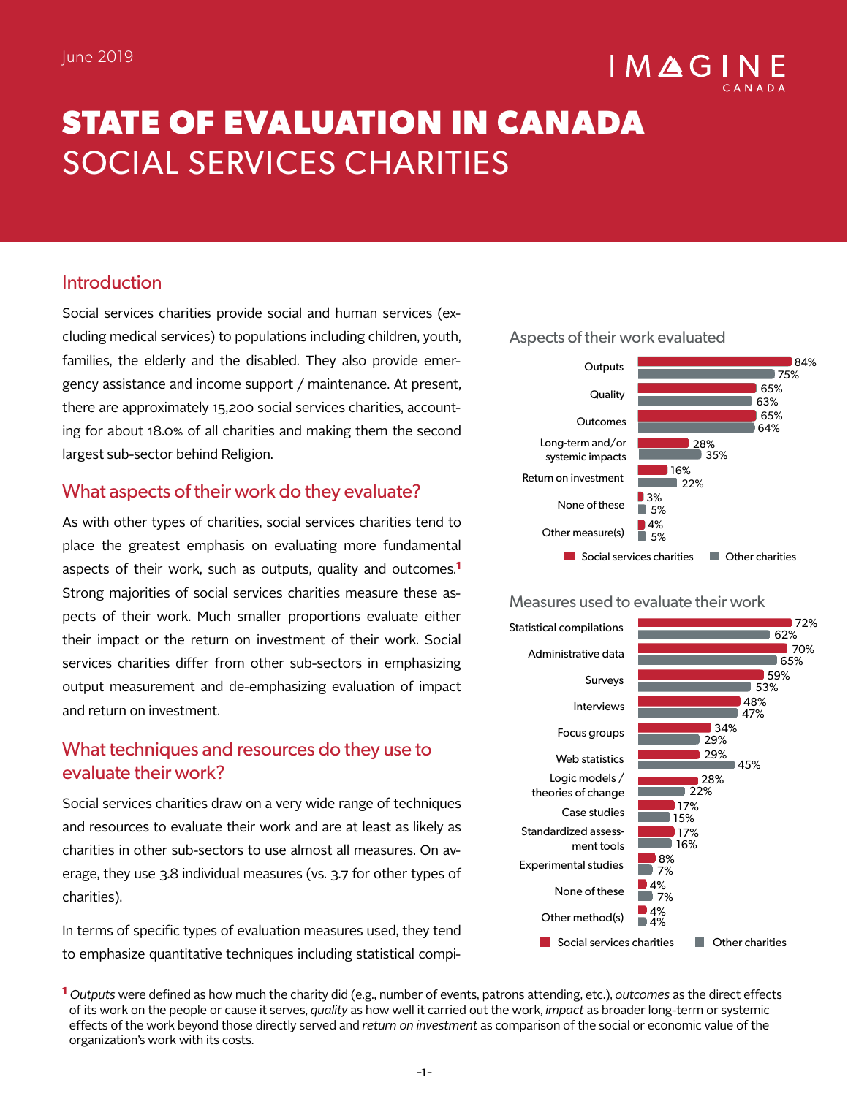# $IMAGI$

# **STATE OF EVALUATION IN CANADA**  SOCIAL SERVICES CHARITIES

# Introduction

Social services charities provide social and human services (excluding medical services) to populations including children, youth, families, the elderly and the disabled. They also provide emergency assistance and income support / maintenance. At present, there are approximately 15,200 social services charities, accounting for about 18.0% of all charities and making them the second largest sub-sector behind Religion.

### What aspects of their work do they evaluate?

As with other types of charities, social services charities tend to place the greatest emphasis on evaluating more fundamental aspects of their work, such as outputs, quality and outcomes.**1** Strong majorities of social services charities measure these aspects of their work. Much smaller proportions evaluate either their impact or the return on investment of their work. Social services charities differ from other sub-sectors in emphasizing output measurement and de-emphasizing evaluation of impact and return on investment.

# What techniques and resources do they use to evaluate their work?

Social services charities draw on a very wide range of techniques and resources to evaluate their work and are at least as likely as charities in other sub-sectors to use almost all measures. On average, they use 3.8 individual measures (vs. 3.7 for other types of charities).

In terms of specific types of evaluation measures used, they tend to emphasize quantitative techniques including statistical compi-



#### Measures used to evaluate their work



**1** *Outputs* were defined as how much the charity did (e.g., number of events, patrons attending, etc.), *outcomes* as the direct effects of its work on the people or cause it serves, *quality* as how well it carried out the work, *impact* as broader long-term or systemic effects of the work beyond those directly served and *return on investment* as comparison of the social or economic value of the organization's work with its costs.

#### Aspects of their work evaluated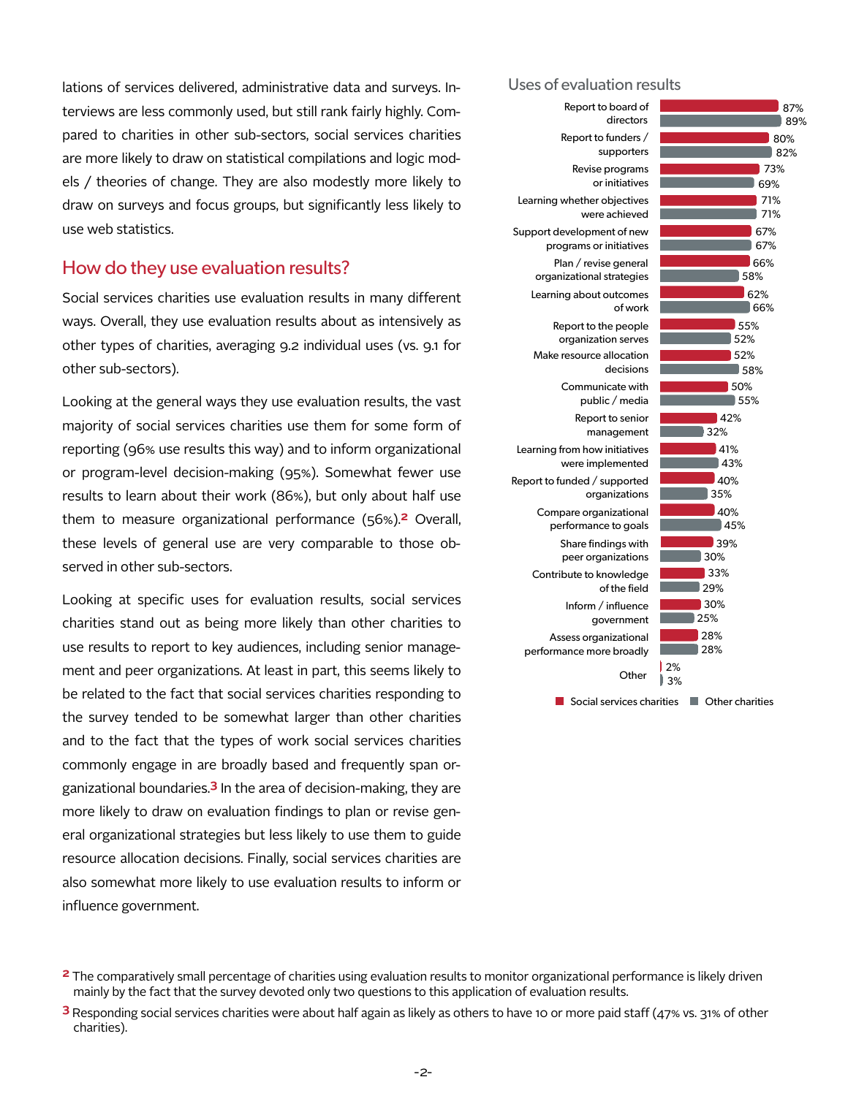lations of services delivered, administrative data and surveys. Interviews are less commonly used, but still rank fairly highly. Compared to charities in other sub-sectors, social services charities are more likely to draw on statistical compilations and logic models / theories of change. They are also modestly more likely to draw on surveys and focus groups, but significantly less likely to use web statistics.

#### How do they use evaluation results?

Social services charities use evaluation results in many different ways. Overall, they use evaluation results about as intensively as other types of charities, averaging 9.2 individual uses (vs. 9.1 for other sub-sectors).

Looking at the general ways they use evaluation results, the vast majority of social services charities use them for some form of reporting (96% use results this way) and to inform organizational or program-level decision-making (95%). Somewhat fewer use results to learn about their work (86%), but only about half use them to measure organizational performance (56%).**2** Overall, these levels of general use are very comparable to those observed in other sub-sectors.

Looking at specific uses for evaluation results, social services charities stand out as being more likely than other charities to use results to report to key audiences, including senior management and peer organizations. At least in part, this seems likely to be related to the fact that social services charities responding to the survey tended to be somewhat larger than other charities and to the fact that the types of work social services charities commonly engage in are broadly based and frequently span organizational boundaries.**3** In the area of decision-making, they are more likely to draw on evaluation findings to plan or revise general organizational strategies but less likely to use them to guide resource allocation decisions. Finally, social services charities are also somewhat more likely to use evaluation results to inform or influence government.

#### Uses of evaluation results



**<sup>2</sup>** The comparatively small percentage of charities using evaluation results to monitor organizational performance is likely driven mainly by the fact that the survey devoted only two questions to this application of evaluation results.

**<sup>3</sup>** Responding social services charities were about half again as likely as others to have 10 or more paid staff (47% vs. 31% of other charities).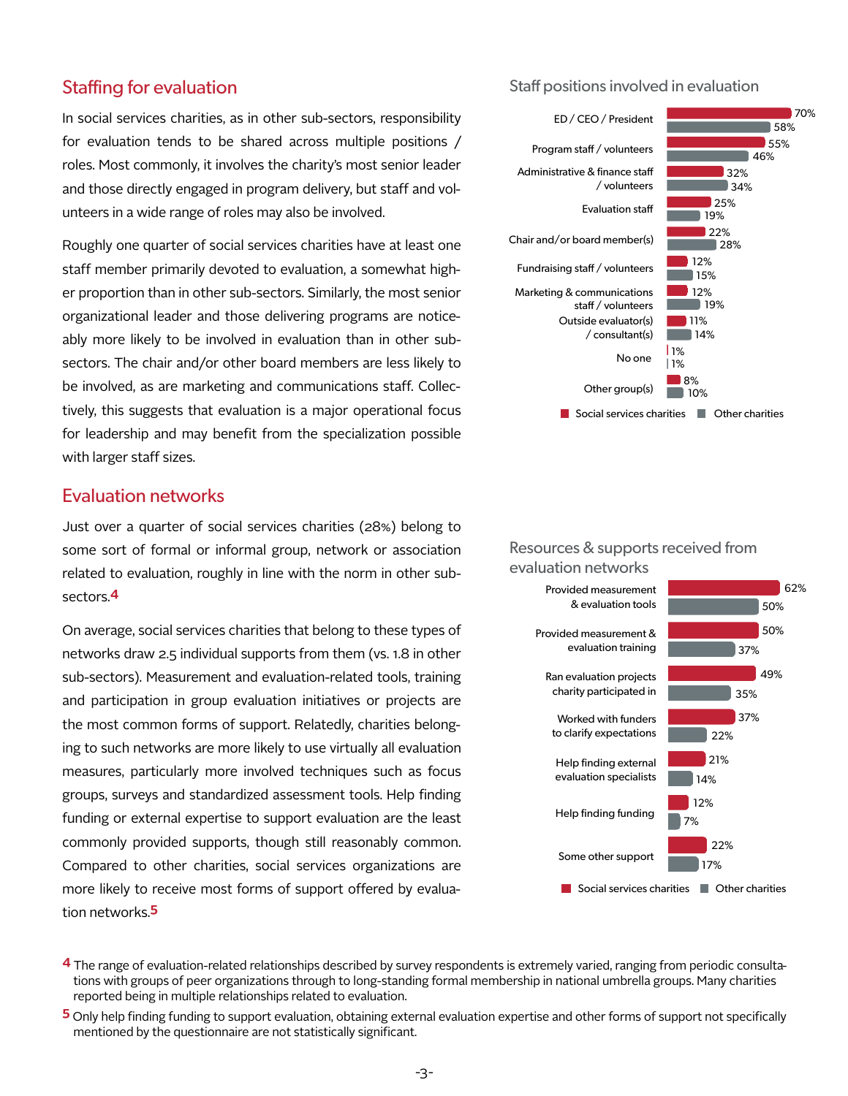#### Staffing for evaluation

In social services charities, as in other sub-sectors, responsibility for evaluation tends to be shared across multiple positions / roles. Most commonly, it involves the charity's most senior leader and those directly engaged in program delivery, but staff and volunteers in a wide range of roles may also be involved.

Roughly one quarter of social services charities have at least one staff member primarily devoted to evaluation, a somewhat higher proportion than in other sub-sectors. Similarly, the most senior organizational leader and those delivering programs are noticeably more likely to be involved in evaluation than in other subsectors. The chair and/or other board members are less likely to be involved, as are marketing and communications staff. Collectively, this suggests that evaluation is a major operational focus for leadership and may benefit from the specialization possible with larger staff sizes.

#### Evaluation networks

Just over a quarter of social services charities (28%) belong to some sort of formal or informal group, network or association related to evaluation, roughly in line with the norm in other subsectors.**4**

On average, social services charities that belong to these types of networks draw 2.5 individual supports from them (vs. 1.8 in other sub-sectors). Measurement and evaluation-related tools, training and participation in group evaluation initiatives or projects are the most common forms of support. Relatedly, charities belonging to such networks are more likely to use virtually all evaluation measures, particularly more involved techniques such as focus groups, surveys and standardized assessment tools. Help finding funding or external expertise to support evaluation are the least commonly provided supports, though still reasonably common. Compared to other charities, social services organizations are more likely to receive most forms of support offered by evaluation networks.**5**

Staff positions involved in evaluation



#### Resources & supports received from evaluation networks



**<sup>4</sup>** The range of evaluation-related relationships described by survey respondents is extremely varied, ranging from periodic consultations with groups of peer organizations through to long-standing formal membership in national umbrella groups. Many charities reported being in multiple relationships related to evaluation.

**<sup>5</sup>** Only help finding funding to support evaluation, obtaining external evaluation expertise and other forms of support not specifically mentioned by the questionnaire are not statistically significant.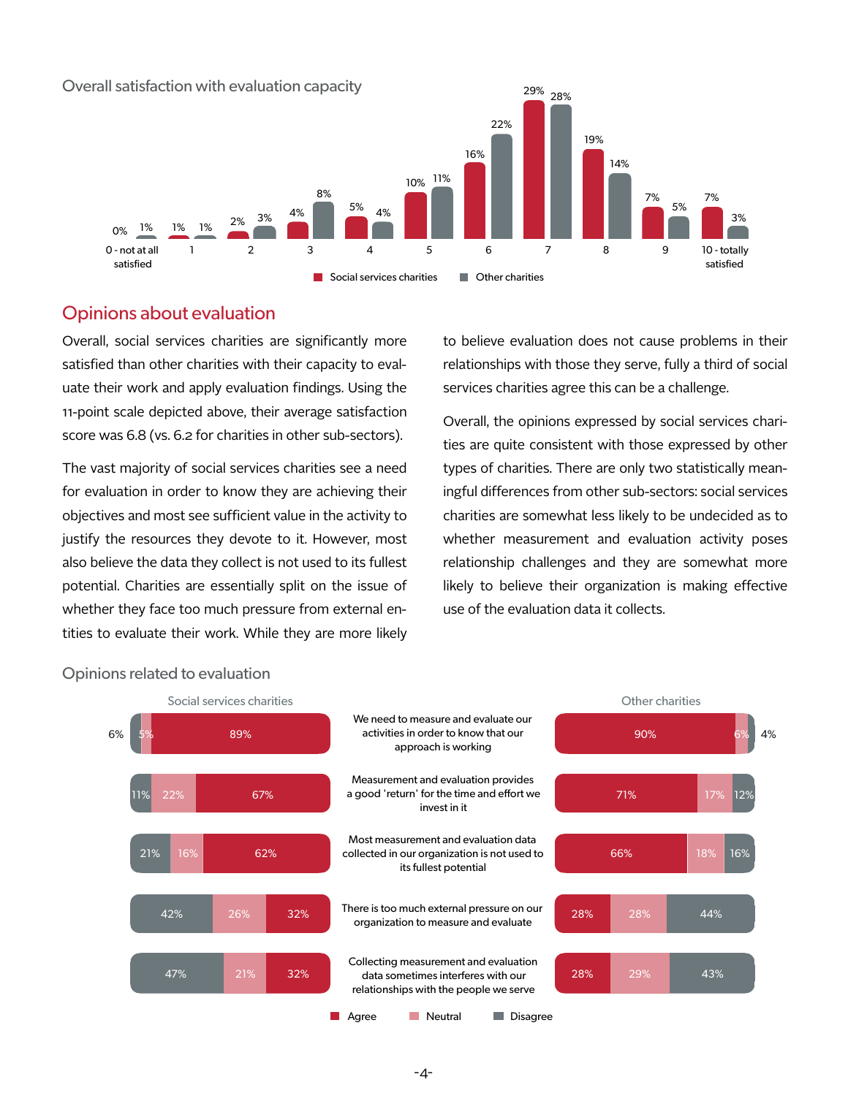

# Opinions about evaluation

Overall, social services charities are significantly more satisfied than other charities with their capacity to evaluate their work and apply evaluation findings. Using the 11-point scale depicted above, their average satisfaction score was 6.8 (vs. 6.2 for charities in other sub-sectors).

The vast majority of social services charities see a need for evaluation in order to know they are achieving their objectives and most see sufficient value in the activity to justify the resources they devote to it. However, most also believe the data they collect is not used to its fullest potential. Charities are essentially split on the issue of whether they face too much pressure from external entities to evaluate their work. While they are more likely

to believe evaluation does not cause problems in their relationships with those they serve, fully a third of social services charities agree this can be a challenge.

Overall, the opinions expressed by social services charities are quite consistent with those expressed by other types of charities. There are only two statistically meaningful differences from other sub-sectors: social services charities are somewhat less likely to be undecided as to whether measurement and evaluation activity poses relationship challenges and they are somewhat more likely to believe their organization is making effective use of the evaluation data it collects.



#### Opinions related to evaluation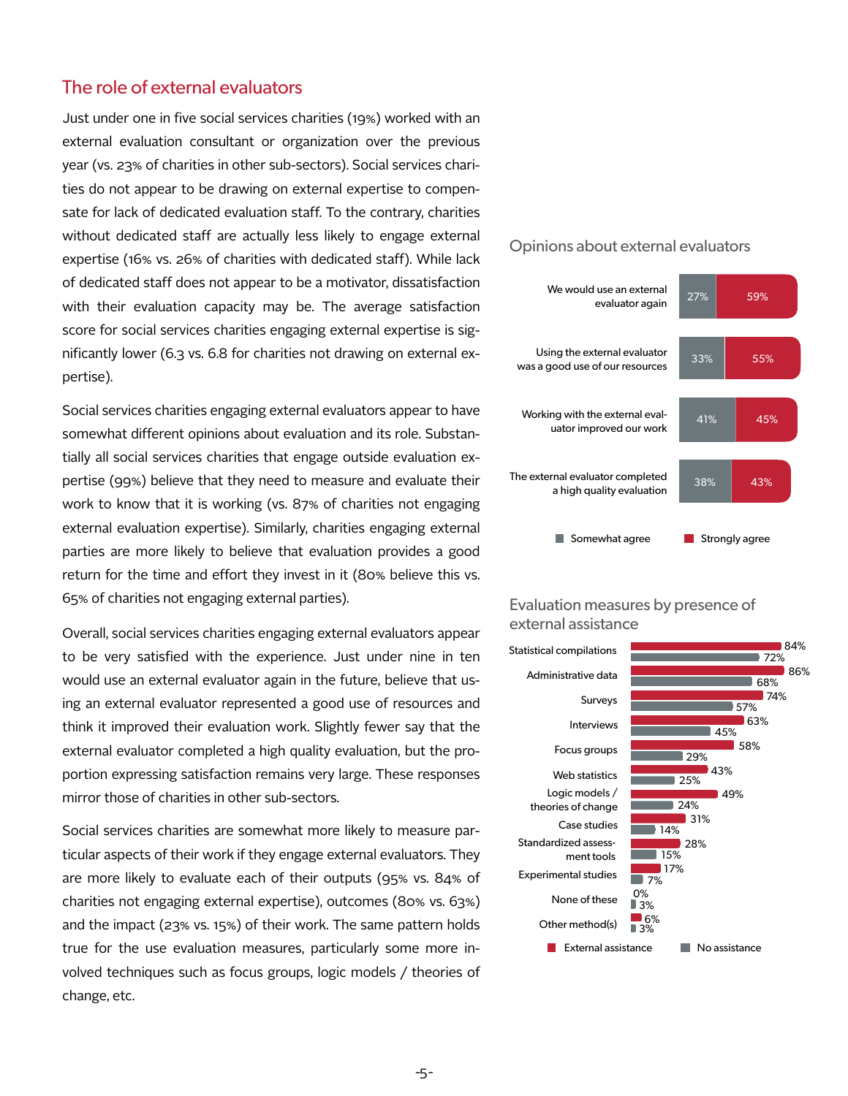### The role of external evaluators

Just under one in five social services charities (19%) worked with an external evaluation consultant or organization over the previous year (vs. 23% of charities in other sub-sectors). Social services charities do not appear to be drawing on external expertise to compensate for lack of dedicated evaluation staff. To the contrary, charities without dedicated staff are actually less likely to engage external expertise (16% vs. 26% of charities with dedicated staff). While lack of dedicated staff does not appear to be a motivator, dissatisfaction with their evaluation capacity may be. The average satisfaction score for social services charities engaging external expertise is significantly lower (6.3 vs. 6.8 for charities not drawing on external expertise).

Social services charities engaging external evaluators appear to have somewhat different opinions about evaluation and its role. Substantially all social services charities that engage outside evaluation expertise (99%) believe that they need to measure and evaluate their work to know that it is working (vs. 87% of charities not engaging external evaluation expertise). Similarly, charities engaging external parties are more likely to believe that evaluation provides a good return for the time and effort they invest in it (80% believe this vs. 65% of charities not engaging external parties).

Overall, social services charities engaging external evaluators appear to be very satisfied with the experience. Just under nine in ten would use an external evaluator again in the future, believe that using an external evaluator represented a good use of resources and think it improved their evaluation work. Slightly fewer say that the external evaluator completed a high quality evaluation, but the proportion expressing satisfaction remains very large. These responses mirror those of charities in other sub-sectors.

Social services charities are somewhat more likely to measure particular aspects of their work if they engage external evaluators. They are more likely to evaluate each of their outputs (95% vs. 84% of charities not engaging external expertise), outcomes (80% vs. 63%) and the impact (23% vs. 15%) of their work. The same pattern holds true for the use evaluation measures, particularly some more involved techniques such as focus groups, logic models / theories of change, etc.

#### Opinions about external evaluators



#### Evaluation measures by presence of external assistance

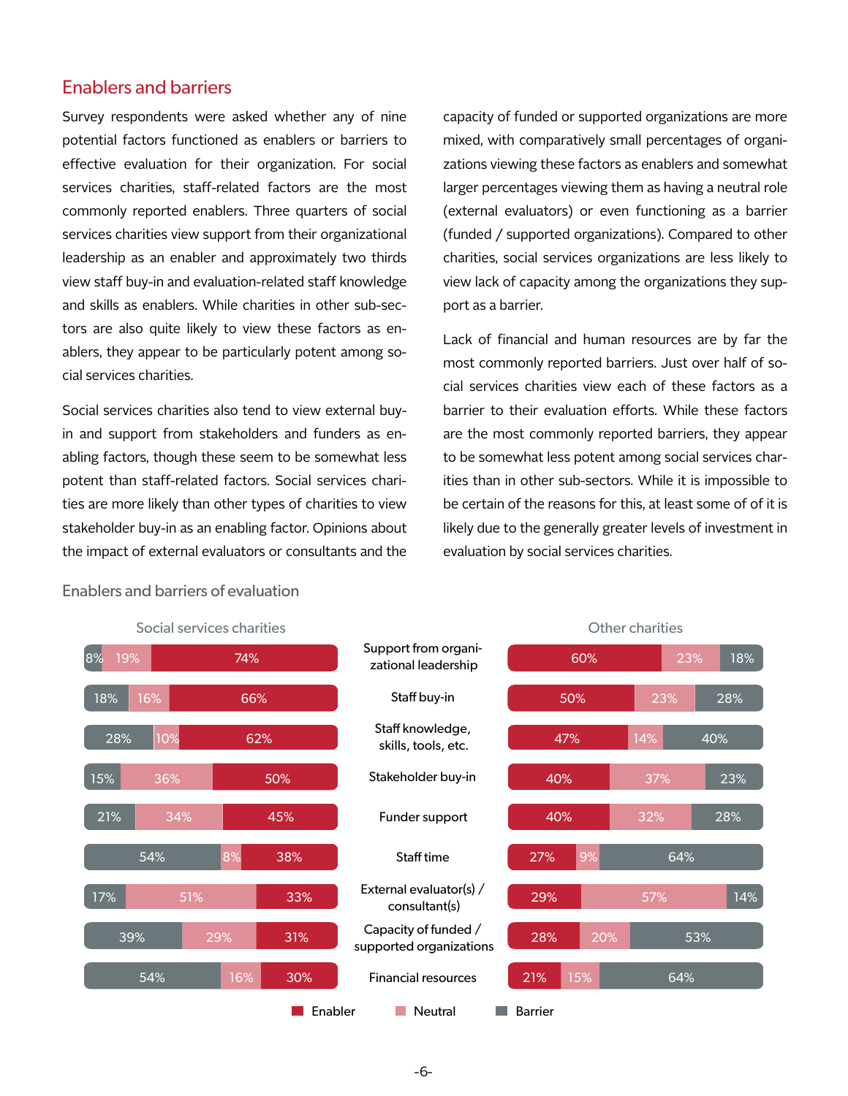#### Enablers and barriers

Survey respondents were asked whether any of nine potential factors functioned as enablers or barriers to effective evaluation for their organization. For social services charities, staff-related factors are the most commonly reported enablers. Three quarters of social services charities view support from their organizational leadership as an enabler and approximately two thirds view staff buy-in and evaluation-related staff knowledge and skills as enablers. While charities in other sub-sectors are also quite likely to view these factors as enablers, they appear to be particularly potent among social services charities.

Social services charities also tend to view external buyin and support from stakeholders and funders as enabling factors, though these seem to be somewhat less potent than staff-related factors. Social services charities are more likely than other types of charities to view stakeholder buy-in as an enabling factor. Opinions about the impact of external evaluators or consultants and the

capacity of funded or supported organizations are more mixed, with comparatively small percentages of organizations viewing these factors as enablers and somewhat larger percentages viewing them as having a neutral role (external evaluators) or even functioning as a barrier (funded / supported organizations). Compared to other charities, social services organizations are less likely to view lack of capacity among the organizations they support as a barrier.

Lack of financial and human resources are by far the most commonly reported barriers. Just over half of social services charities view each of these factors as a barrier to their evaluation efforts. While these factors are the most commonly reported barriers, they appear to be somewhat less potent among social services charities than in other sub-sectors. While it is impossible to be certain of the reasons for this, at least some of of it is likely due to the generally greater levels of investment in evaluation by social services charities.



# Enablers and barriers of evaluation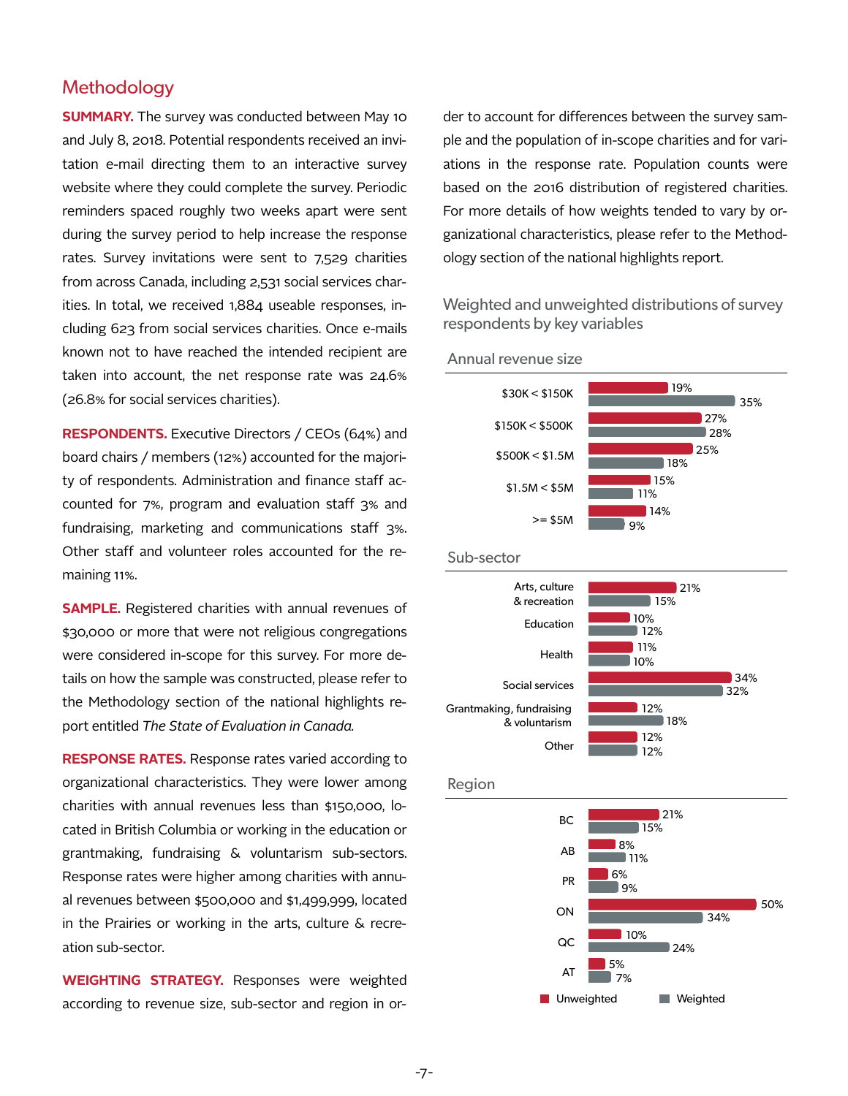#### **Methodology**

**SUMMARY.** The survey was conducted between May 10 and July 8, 2018. Potential respondents received an invitation e-mail directing them to an interactive survey website where they could complete the survey. Periodic reminders spaced roughly two weeks apart were sent during the survey period to help increase the response rates. Survey invitations were sent to 7,529 charities from across Canada, including 2,531 social services charities. In total, we received 1,884 useable responses, including 623 from social services charities. Once e-mails known not to have reached the intended recipient are taken into account, the net response rate was 24.6% (26.8% for social services charities).

**RESPONDENTS.** Executive Directors / CEOs (64%) and board chairs / members (12%) accounted for the majority of respondents. Administration and finance staff accounted for 7%, program and evaluation staff 3% and fundraising, marketing and communications staff 3%. Other staff and volunteer roles accounted for the remaining 11%.

**SAMPLE.** Registered charities with annual revenues of \$30,000 or more that were not religious congregations were considered in-scope for this survey. For more details on how the sample was constructed, please refer to the Methodology section of the national highlights report entitled *The State of Evaluation in Canada.* 

**RESPONSE RATES.** Response rates varied according to organizational characteristics. They were lower among charities with annual revenues less than \$150,000, located in British Columbia or working in the education or grantmaking, fundraising & voluntarism sub-sectors. Response rates were higher among charities with annual revenues between \$500,000 and \$1,499,999, located in the Prairies or working in the arts, culture & recreation sub-sector.

**WEIGHTING STRATEGY.** Responses were weighted according to revenue size, sub-sector and region in or-

der to account for differences between the survey sample and the population of in-scope charities and for variations in the response rate. Population counts were based on the 2016 distribution of registered charities. For more details of how weights tended to vary by organizational characteristics, please refer to the Methodology section of the national highlights report.

Weighted and unweighted distributions of survey respondents by key variables